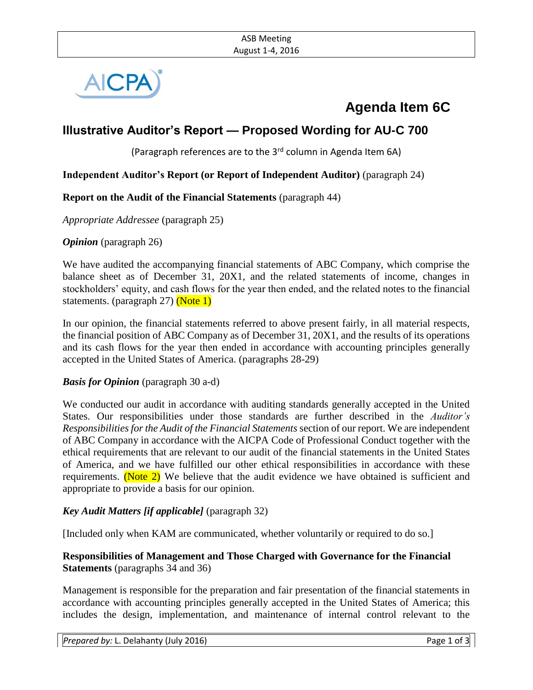

# **Agenda Item 6C**

# **Illustrative Auditor's Report — Proposed Wording for AU-C 700**

(Paragraph references are to the 3<sup>rd</sup> column in Agenda Item 6A)

#### **Independent Auditor's Report (or Report of Independent Auditor)** (paragraph 24)

#### **Report on the Audit of the Financial Statements** (paragraph 44)

*Appropriate Addressee* (paragraph 25)

*Opinion* (paragraph 26)

We have audited the accompanying financial statements of ABC Company, which comprise the balance sheet as of December 31, 20X1, and the related statements of income, changes in stockholders' equity, and cash flows for the year then ended, and the related notes to the financial statements. (paragraph 27) (Note 1)

In our opinion, the financial statements referred to above present fairly, in all material respects, the financial position of ABC Company as of December 31, 20X1, and the results of its operations and its cash flows for the year then ended in accordance with accounting principles generally accepted in the United States of America. (paragraphs 28-29)

#### *Basis for Opinion* (paragraph 30 a-d)

We conducted our audit in accordance with auditing standards generally accepted in the United States. Our responsibilities under those standards are further described in the *Auditor's Responsibilities for the Audit of the Financial Statements* section of our report. We are independent of ABC Company in accordance with the AICPA Code of Professional Conduct together with the ethical requirements that are relevant to our audit of the financial statements in the United States of America, and we have fulfilled our other ethical responsibilities in accordance with these requirements. (Note  $2$ ) We believe that the audit evidence we have obtained is sufficient and appropriate to provide a basis for our opinion.

#### *Key Audit Matters [if applicable]* (paragraph 32)

[Included only when KAM are communicated, whether voluntarily or required to do so.]

#### **Responsibilities of Management and Those Charged with Governance for the Financial Statements** (paragraphs 34 and 36)

Management is responsible for the preparation and fair presentation of the financial statements in accordance with accounting principles generally accepted in the United States of America; this includes the design, implementation, and maintenance of internal control relevant to the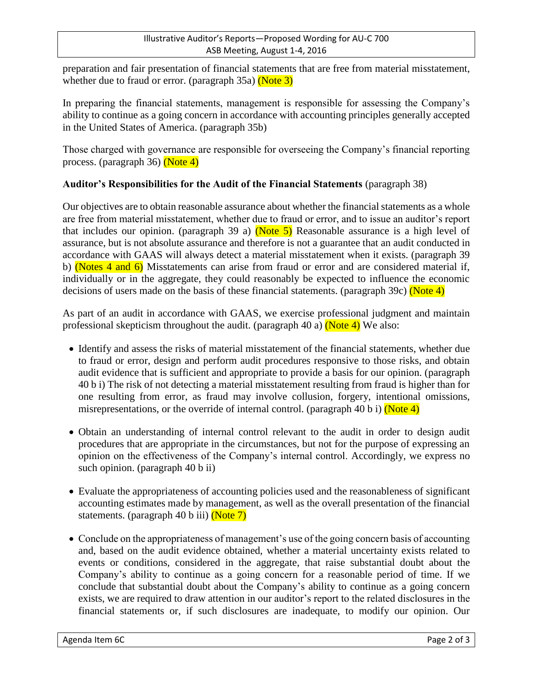preparation and fair presentation of financial statements that are free from material misstatement, whether due to fraud or error. (paragraph  $35a$ ) (Note  $3$ )

In preparing the financial statements, management is responsible for assessing the Company's ability to continue as a going concern in accordance with accounting principles generally accepted in the United States of America. (paragraph 35b)

Those charged with governance are responsible for overseeing the Company's financial reporting process. (paragraph 36) (Note 4)

## **Auditor's Responsibilities for the Audit of the Financial Statements** (paragraph 38)

Our objectives are to obtain reasonable assurance about whether the financial statements as a whole are free from material misstatement, whether due to fraud or error, and to issue an auditor's report that includes our opinion. (paragraph 39 a) (Note 5) Reasonable assurance is a high level of assurance, but is not absolute assurance and therefore is not a guarantee that an audit conducted in accordance with GAAS will always detect a material misstatement when it exists. (paragraph 39 b) (Notes 4 and  $6$ ) Misstatements can arise from fraud or error and are considered material if, individually or in the aggregate, they could reasonably be expected to influence the economic decisions of users made on the basis of these financial statements. (paragraph 39c) (Note 4)

As part of an audit in accordance with GAAS, we exercise professional judgment and maintain professional skepticism throughout the audit. (paragraph 40 a)  $(Note 4)$  We also:

- Identify and assess the risks of material misstatement of the financial statements, whether due to fraud or error, design and perform audit procedures responsive to those risks, and obtain audit evidence that is sufficient and appropriate to provide a basis for our opinion. (paragraph 40 b i) The risk of not detecting a material misstatement resulting from fraud is higher than for one resulting from error, as fraud may involve collusion, forgery, intentional omissions, misrepresentations, or the override of internal control. (paragraph 40 b i) (Note 4)
- Obtain an understanding of internal control relevant to the audit in order to design audit procedures that are appropriate in the circumstances, but not for the purpose of expressing an opinion on the effectiveness of the Company's internal control. Accordingly, we express no such opinion. (paragraph 40 b ii)
- Evaluate the appropriateness of accounting policies used and the reasonableness of significant accounting estimates made by management, as well as the overall presentation of the financial statements. (paragraph 40 b iii)  $(Note 7)$
- Conclude on the appropriateness of management's use of the going concern basis of accounting and, based on the audit evidence obtained, whether a material uncertainty exists related to events or conditions, considered in the aggregate, that raise substantial doubt about the Company's ability to continue as a going concern for a reasonable period of time. If we conclude that substantial doubt about the Company's ability to continue as a going concern exists, we are required to draw attention in our auditor's report to the related disclosures in the financial statements or, if such disclosures are inadequate, to modify our opinion. Our